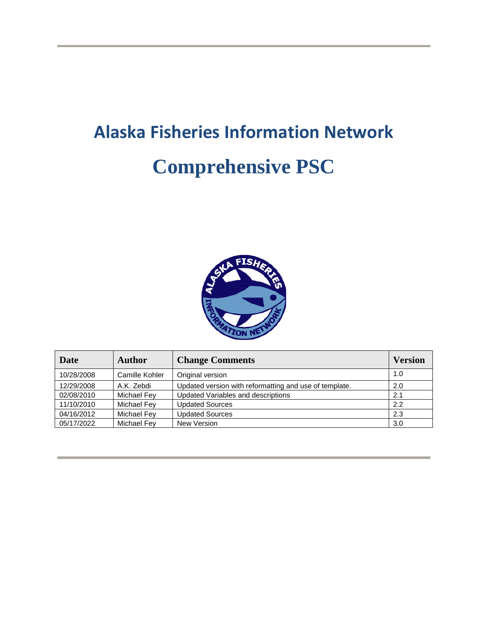# **Alaska Fisheries Information Network Comprehensive PSC**



| Date       | <b>Author</b>  | <b>Change Comments</b>                                 | <b>Version</b> |
|------------|----------------|--------------------------------------------------------|----------------|
| 10/28/2008 | Camille Kohler | Original version                                       | 1.0            |
| 12/29/2008 | A.K. Zebdi     | Updated version with reformatting and use of template. | 2.0            |
| 02/08/2010 | Michael Fey    | Updated Variables and descriptions                     | 2.1            |
| 11/10/2010 | Michael Fey    | <b>Updated Sources</b>                                 | 2.2            |
| 04/16/2012 | Michael Fey    | <b>Updated Sources</b>                                 | 2.3            |
| 05/17/2022 | Michael Fey    | New Version                                            | 3.0            |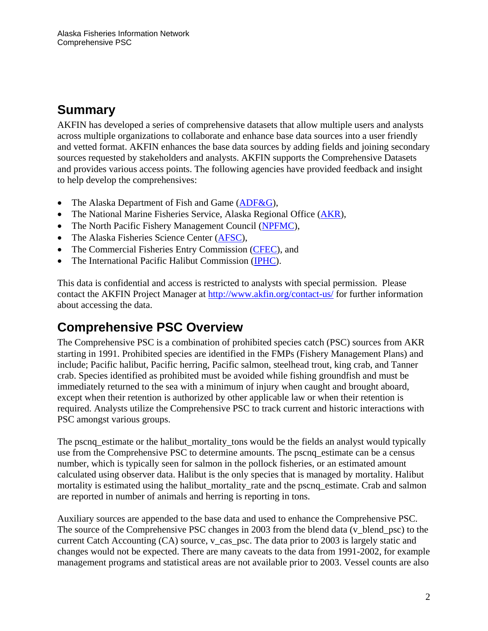## **Summary**

AKFIN has developed a series of comprehensive datasets that allow multiple users and analysts across multiple organizations to collaborate and enhance base data sources into a user friendly and vetted format. AKFIN enhances the base data sources by adding fields and joining secondary sources requested by stakeholders and analysts. AKFIN supports the Comprehensive Datasets and provides various access points. The following agencies have provided feedback and insight to help develop the comprehensives:

- The Alaska Department of Fish and Game [\(ADF&G\)](http://www.adfg.state.ak.us/),
- The National Marine Fisheries Service, Alaska Regional Office [\(AKR\)](http://www.fakr.noaa.gov/),
- The North Pacific Fishery Management Council [\(NPFMC\)](http://www.npfmc.org/),
- The Alaska Fisheries Science Center [\(AFSC\)](https://www.fisheries.noaa.gov/about/alaska-fisheries-science-center),
- The Commercial Fisheries Entry Commission [\(CFEC\)](http://www.cfec.state.ak.us/), and
- The International Pacific Halibut Commission [\(IPHC\)](https://iphc.int/).

This data is confidential and access is restricted to analysts with special permission. Please contact the AKFIN Project Manager at<http://www.akfin.org/contact-us/> for further information about accessing the data.

## **Comprehensive PSC Overview**

The Comprehensive PSC is a combination of prohibited species catch (PSC) sources from AKR starting in 1991. Prohibited species are identified in the FMPs (Fishery Management Plans) and include; Pacific halibut, Pacific herring, Pacific salmon, steelhead trout, king crab, and Tanner crab. Species identified as prohibited must be avoided while fishing groundfish and must be immediately returned to the sea with a minimum of injury when caught and brought aboard, except when their retention is authorized by other applicable law or when their retention is required. Analysts utilize the Comprehensive PSC to track current and historic interactions with PSC amongst various groups.

The pscnq\_estimate or the halibut\_mortality\_tons would be the fields an analyst would typically use from the Comprehensive PSC to determine amounts. The pscnq\_estimate can be a census number, which is typically seen for salmon in the pollock fisheries, or an estimated amount calculated using observer data. Halibut is the only species that is managed by mortality. Halibut mortality is estimated using the halibut mortality rate and the pscnq estimate. Crab and salmon are reported in number of animals and herring is reporting in tons.

Auxiliary sources are appended to the base data and used to enhance the Comprehensive PSC. The source of the Comprehensive PSC changes in 2003 from the blend data (v\_blend\_psc) to the current Catch Accounting (CA) source, v\_cas\_psc. The data prior to 2003 is largely static and changes would not be expected. There are many caveats to the data from 1991-2002, for example management programs and statistical areas are not available prior to 2003. Vessel counts are also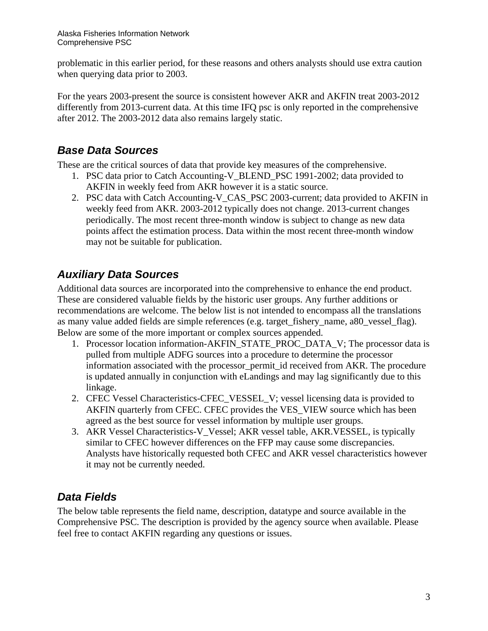problematic in this earlier period, for these reasons and others analysts should use extra caution when querying data prior to 2003.

For the years 2003-present the source is consistent however AKR and AKFIN treat 2003-2012 differently from 2013-current data. At this time IFQ psc is only reported in the comprehensive after 2012. The 2003-2012 data also remains largely static.

#### *Base Data Sources*

These are the critical sources of data that provide key measures of the comprehensive.

- 1. PSC data prior to Catch Accounting-V\_BLEND\_PSC 1991-2002; data provided to AKFIN in weekly feed from AKR however it is a static source.
- 2. PSC data with Catch Accounting-V\_CAS\_PSC 2003-current; data provided to AKFIN in weekly feed from AKR. 2003-2012 typically does not change. 2013-current changes periodically. The most recent three-month window is subject to change as new data points affect the estimation process. Data within the most recent three-month window may not be suitable for publication.

#### *Auxiliary Data Sources*

Additional data sources are incorporated into the comprehensive to enhance the end product. These are considered valuable fields by the historic user groups. Any further additions or recommendations are welcome. The below list is not intended to encompass all the translations as many value added fields are simple references (e.g. target\_fishery\_name, a80\_vessel\_flag). Below are some of the more important or complex sources appended.

- 1. Processor location information-AKFIN\_STATE\_PROC\_DATA\_V; The processor data is pulled from multiple ADFG sources into a procedure to determine the processor information associated with the processor permit id received from AKR. The procedure is updated annually in conjunction with eLandings and may lag significantly due to this linkage.
- 2. CFEC Vessel Characteristics-CFEC\_VESSEL\_V; vessel licensing data is provided to AKFIN quarterly from CFEC. CFEC provides the VES\_VIEW source which has been agreed as the best source for vessel information by multiple user groups.
- 3. AKR Vessel Characteristics-V\_Vessel; AKR vessel table, AKR.VESSEL, is typically similar to CFEC however differences on the FFP may cause some discrepancies. Analysts have historically requested both CFEC and AKR vessel characteristics however it may not be currently needed.

## *Data Fields*

The below table represents the field name, description, datatype and source available in the Comprehensive PSC. The description is provided by the agency source when available. Please feel free to contact AKFIN regarding any questions or issues.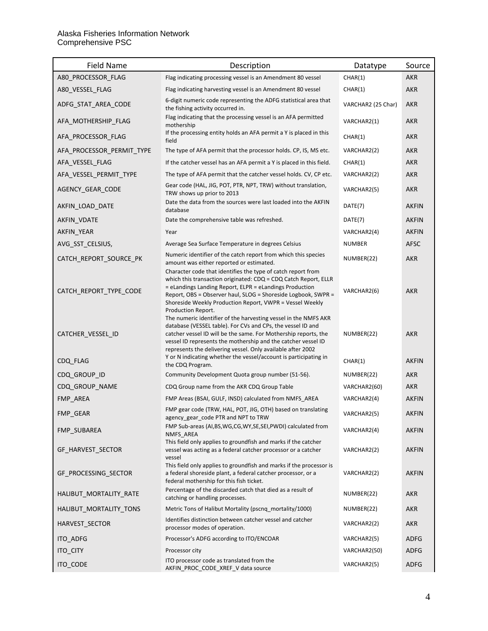| <b>Field Name</b>         | Description                                                                                                                                                                                                                                                                                                                                                                                           | Datatype           | Source       |
|---------------------------|-------------------------------------------------------------------------------------------------------------------------------------------------------------------------------------------------------------------------------------------------------------------------------------------------------------------------------------------------------------------------------------------------------|--------------------|--------------|
| A80_PROCESSOR_FLAG        | Flag indicating processing vessel is an Amendment 80 vessel                                                                                                                                                                                                                                                                                                                                           | CHAR(1)            | <b>AKR</b>   |
| A80_VESSEL_FLAG           | Flag indicating harvesting vessel is an Amendment 80 vessel                                                                                                                                                                                                                                                                                                                                           | CHAR(1)            | <b>AKR</b>   |
| ADFG_STAT_AREA_CODE       | 6-digit numeric code representing the ADFG statistical area that<br>the fishing activity occurred in.                                                                                                                                                                                                                                                                                                 | VARCHAR2 (25 Char) | <b>AKR</b>   |
| AFA_MOTHERSHIP_FLAG       | Flag indicating that the processing vessel is an AFA permitted<br>mothership                                                                                                                                                                                                                                                                                                                          | VARCHAR2(1)        | <b>AKR</b>   |
| AFA PROCESSOR FLAG        | If the processing entity holds an AFA permit a Y is placed in this<br>field                                                                                                                                                                                                                                                                                                                           | CHAR(1)            | <b>AKR</b>   |
| AFA_PROCESSOR_PERMIT_TYPE | The type of AFA permit that the processor holds. CP, IS, MS etc.                                                                                                                                                                                                                                                                                                                                      | VARCHAR2(2)        | <b>AKR</b>   |
| AFA_VESSEL_FLAG           | If the catcher vessel has an AFA permit a Y is placed in this field.                                                                                                                                                                                                                                                                                                                                  | CHAR(1)            | <b>AKR</b>   |
| AFA_VESSEL_PERMIT_TYPE    | The type of AFA permit that the catcher vessel holds. CV, CP etc.                                                                                                                                                                                                                                                                                                                                     | VARCHAR2(2)        | <b>AKR</b>   |
| AGENCY_GEAR_CODE          | Gear code (HAL, JIG, POT, PTR, NPT, TRW) without translation,<br>TRW shows up prior to 2013                                                                                                                                                                                                                                                                                                           | VARCHAR2(5)        | <b>AKR</b>   |
| AKFIN_LOAD_DATE           | Date the data from the sources were last loaded into the AKFIN<br>database                                                                                                                                                                                                                                                                                                                            | DATE(7)            | <b>AKFIN</b> |
| AKFIN VDATE               | Date the comprehensive table was refreshed.                                                                                                                                                                                                                                                                                                                                                           | DATE(7)            | <b>AKFIN</b> |
| AKFIN YEAR                | Year                                                                                                                                                                                                                                                                                                                                                                                                  | VARCHAR2(4)        | <b>AKFIN</b> |
| AVG_SST_CELSIUS,          | Average Sea Surface Temperature in degrees Celsius                                                                                                                                                                                                                                                                                                                                                    | <b>NUMBER</b>      | <b>AFSC</b>  |
| CATCH_REPORT_SOURCE_PK    | Numeric identifier of the catch report from which this species<br>amount was either reported or estimated.                                                                                                                                                                                                                                                                                            | NUMBER(22)         | <b>AKR</b>   |
| CATCH_REPORT_TYPE_CODE    | Character code that identifies the type of catch report from<br>which this transaction originated: CDQ = CDQ Catch Report, ELLR<br>= eLandings Landing Report, ELPR = eLandings Production<br>Report, OBS = Observer haul, SLOG = Shoreside Logbook, SWPR =<br>Shoreside Weekly Production Report, VWPR = Vessel Weekly<br>Production Report.                                                         | VARCHAR2(6)        | <b>AKR</b>   |
| CATCHER_VESSEL_ID         | The numeric identifier of the harvesting vessel in the NMFS AKR<br>database (VESSEL table). For CVs and CPs, the vessel ID and<br>catcher vessel ID will be the same. For Mothership reports, the<br>vessel ID represents the mothership and the catcher vessel ID<br>represents the delivering vessel. Only available after 2002<br>Y or N indicating whether the vessel/account is participating in | NUMBER(22)         | <b>AKR</b>   |
| CDQ FLAG                  | the CDQ Program.                                                                                                                                                                                                                                                                                                                                                                                      | CHAR(1)            | <b>AKFIN</b> |
| CDQ_GROUP_ID              | Community Development Quota group number (51-56).                                                                                                                                                                                                                                                                                                                                                     | NUMBER(22)         | <b>AKR</b>   |
| CDQ_GROUP_NAME            | CDQ Group name from the AKR CDQ Group Table                                                                                                                                                                                                                                                                                                                                                           | VARCHAR2(60)       | <b>AKR</b>   |
| FMP_AREA                  | FMP Areas (BSAI, GULF, INSD) calculated from NMFS AREA                                                                                                                                                                                                                                                                                                                                                | VARCHAR2(4)        | <b>AKFIN</b> |
| FMP_GEAR                  | FMP gear code (TRW, HAL, POT, JIG, OTH) based on translating<br>agency_gear_code PTR and NPT to TRW                                                                                                                                                                                                                                                                                                   | VARCHAR2(5)        | <b>AKFIN</b> |
| FMP_SUBAREA               | FMP Sub-areas (AI,BS,WG,CG,WY,SE,SEI,PWDI) calculated from<br>NMFS_AREA                                                                                                                                                                                                                                                                                                                               | VARCHAR2(4)        | <b>AKFIN</b> |
| GF_HARVEST_SECTOR         | This field only applies to groundfish and marks if the catcher<br>vessel was acting as a federal catcher processor or a catcher<br>vessel                                                                                                                                                                                                                                                             | VARCHAR2(2)        | <b>AKFIN</b> |
| GF_PROCESSING_SECTOR      | This field only applies to groundfish and marks if the processor is<br>a federal shoreside plant, a federal catcher processor, or a<br>federal mothership for this fish ticket.                                                                                                                                                                                                                       | VARCHAR2(2)        | <b>AKFIN</b> |
| HALIBUT MORTALITY RATE    | Percentage of the discarded catch that died as a result of<br>catching or handling processes.                                                                                                                                                                                                                                                                                                         | NUMBER(22)         | AKR          |
| HALIBUT MORTALITY TONS    | Metric Tons of Halibut Mortality (pscnq_mortality/1000)                                                                                                                                                                                                                                                                                                                                               | NUMBER(22)         | <b>AKR</b>   |
| HARVEST SECTOR            | Identifies distinction between catcher vessel and catcher<br>processor modes of operation.                                                                                                                                                                                                                                                                                                            | VARCHAR2(2)        | <b>AKR</b>   |
| ITO ADFG                  | Processor's ADFG according to ITO/ENCOAR                                                                                                                                                                                                                                                                                                                                                              | VARCHAR2(5)        | <b>ADFG</b>  |
| <b>ITO CITY</b>           | Processor city                                                                                                                                                                                                                                                                                                                                                                                        | VARCHAR2(50)       | ADFG         |
| ITO_CODE                  | ITO processor code as translated from the<br>AKFIN_PROC_CODE_XREF_V data source                                                                                                                                                                                                                                                                                                                       | VARCHAR2(5)        | <b>ADFG</b>  |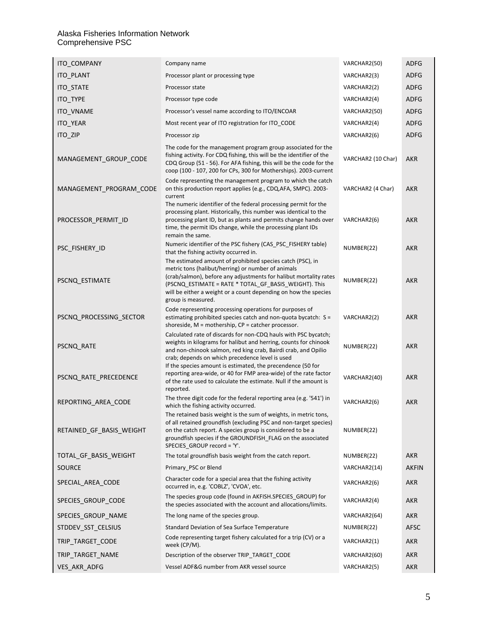#### Alaska Fisheries Information Network Comprehensive PSC

| ITO_COMPANY              | Company name                                                                                                                                                                                                                                                                                                                            | VARCHAR2(50)       | <b>ADFG</b>  |
|--------------------------|-----------------------------------------------------------------------------------------------------------------------------------------------------------------------------------------------------------------------------------------------------------------------------------------------------------------------------------------|--------------------|--------------|
| ITO_PLANT                | Processor plant or processing type                                                                                                                                                                                                                                                                                                      | VARCHAR2(3)        | ADFG         |
| <b>ITO STATE</b>         | Processor state                                                                                                                                                                                                                                                                                                                         | VARCHAR2(2)        | <b>ADFG</b>  |
| ITO_TYPE                 | Processor type code                                                                                                                                                                                                                                                                                                                     | VARCHAR2(4)        | ADFG         |
| ITO_VNAME                | Processor's vessel name according to ITO/ENCOAR                                                                                                                                                                                                                                                                                         | VARCHAR2(50)       | ADFG         |
| ITO_YEAR                 | Most recent year of ITO registration for ITO_CODE                                                                                                                                                                                                                                                                                       | VARCHAR2(4)        | ADFG         |
| ITO_ZIP                  | Processor zip                                                                                                                                                                                                                                                                                                                           | VARCHAR2(6)        | <b>ADFG</b>  |
| MANAGEMENT_GROUP_CODE    | The code for the management program group associated for the<br>fishing activity. For CDQ fishing, this will be the identifier of the<br>CDQ Group (51 - 56). For AFA fishing, this will be the code for the<br>coop (100 - 107, 200 for CPs, 300 for Motherships). 2003-current                                                        | VARCHAR2 (10 Char) | <b>AKR</b>   |
| MANAGEMENT_PROGRAM_CODE  | Code representing the management program to which the catch<br>on this production report applies (e.g., CDQ, AFA, SMPC). 2003-<br>current                                                                                                                                                                                               | VARCHAR2 (4 Char)  | AKR          |
| PROCESSOR_PERMIT_ID      | The numeric identifier of the federal processing permit for the<br>processing plant. Historically, this number was identical to the<br>processing plant ID, but as plants and permits change hands over<br>time, the permit IDs change, while the processing plant IDs<br>remain the same.                                              | VARCHAR2(6)        | <b>AKR</b>   |
| PSC_FISHERY_ID           | Numeric identifier of the PSC fishery (CAS_PSC_FISHERY table)<br>that the fishing activity occurred in.                                                                                                                                                                                                                                 | NUMBER(22)         | <b>AKR</b>   |
| PSCNQ_ESTIMATE           | The estimated amount of prohibited species catch (PSC), in<br>metric tons (halibut/herring) or number of animals<br>(crab/salmon), before any adjustments for halibut mortality rates<br>(PSCNQ ESTIMATE = RATE * TOTAL GF BASIS WEIGHT). This<br>will be either a weight or a count depending on how the species<br>group is measured. | NUMBER(22)         | <b>AKR</b>   |
| PSCNQ_PROCESSING_SECTOR  | Code representing processing operations for purposes of<br>estimating prohibited species catch and non-quota bycatch: S =<br>shoreside, $M =$ mothership, $CP =$ catcher processor.                                                                                                                                                     | VARCHAR2(2)        | <b>AKR</b>   |
| PSCNQ_RATE               | Calculated rate of discards for non-CDQ hauls with PSC bycatch;<br>weights in kilograms for halibut and herring, counts for chinook<br>and non-chinook salmon, red king crab, Bairdi crab, and Opilio<br>crab; depends on which precedence level is used                                                                                | NUMBER(22)         | <b>AKR</b>   |
| PSCNQ_RATE_PRECEDENCE    | If the species amount is estimated, the precendence (50 for<br>reporting area-wide, or 40 for FMP area-wide) of the rate factor<br>of the rate used to calculate the estimate. Null if the amount is<br>reported.                                                                                                                       | VARCHAR2(40)       | <b>AKR</b>   |
| REPORTING_AREA_CODE      | The three digit code for the federal reporting area (e.g. '541') in<br>which the fishing activity occurred.                                                                                                                                                                                                                             | VARCHAR2(6)        | <b>AKR</b>   |
| RETAINED GF BASIS WEIGHT | The retained basis weight is the sum of weights, in metric tons,<br>of all retained groundfish (excluding PSC and non-target species)<br>on the catch report. A species group is considered to be a<br>groundfish species if the GROUNDFISH_FLAG on the associated<br>SPECIES_GROUP record = 'Y'.                                       | NUMBER(22)         |              |
| TOTAL_GF_BASIS_WEIGHT    | The total groundfish basis weight from the catch report.                                                                                                                                                                                                                                                                                | NUMBER(22)         | <b>AKR</b>   |
| SOURCE                   | Primary PSC or Blend                                                                                                                                                                                                                                                                                                                    | VARCHAR2(14)       | <b>AKFIN</b> |
| SPECIAL_AREA_CODE        | Character code for a special area that the fishing activity<br>occurred in, e.g. 'COBLZ', 'CVOA', etc.                                                                                                                                                                                                                                  | VARCHAR2(6)        | AKR          |
| SPECIES_GROUP_CODE       | The species group code (found in AKFISH.SPECIES_GROUP) for<br>the species associated with the account and allocations/limits.                                                                                                                                                                                                           | VARCHAR2(4)        | <b>AKR</b>   |
| SPECIES_GROUP_NAME       | The long name of the species group.                                                                                                                                                                                                                                                                                                     | VARCHAR2(64)       | <b>AKR</b>   |
| STDDEV_SST_CELSIUS       | Standard Deviation of Sea Surface Temperature                                                                                                                                                                                                                                                                                           | NUMBER(22)         | AFSC         |
| TRIP_TARGET_CODE         | Code representing target fishery calculated for a trip (CV) or a<br>week (CP/M).                                                                                                                                                                                                                                                        | VARCHAR2(1)        | <b>AKR</b>   |
| TRIP TARGET NAME         | Description of the observer TRIP_TARGET_CODE                                                                                                                                                                                                                                                                                            | VARCHAR2(60)       | <b>AKR</b>   |
| VES AKR ADFG             | Vessel ADF&G number from AKR vessel source                                                                                                                                                                                                                                                                                              | VARCHAR2(5)        | <b>AKR</b>   |